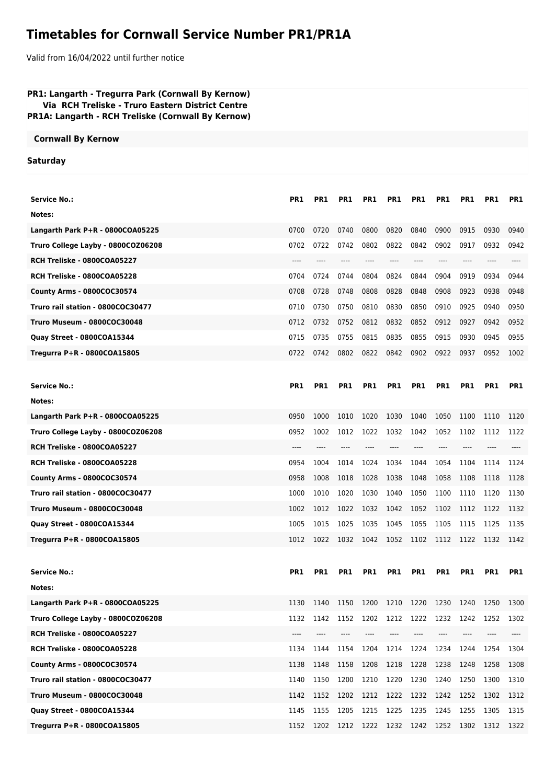## **Timetables for Cornwall Service Number PR1/PR1A**

Valid from 16/04/2022 until further notice

| PR1: Langarth - Tregurra Park (Cornwall By Kernow)<br>Via RCH Treliske - Truro Eastern District Centre<br>PR1A: Langarth - RCH Treliske (Cornwall By Kernow) |            |            |      |                          |      |            |      |                 |                |      |
|--------------------------------------------------------------------------------------------------------------------------------------------------------------|------------|------------|------|--------------------------|------|------------|------|-----------------|----------------|------|
| <b>Cornwall By Kernow</b>                                                                                                                                    |            |            |      |                          |      |            |      |                 |                |      |
| <b>Saturday</b>                                                                                                                                              |            |            |      |                          |      |            |      |                 |                |      |
|                                                                                                                                                              |            |            |      |                          |      |            |      |                 |                |      |
| <b>Service No.:</b>                                                                                                                                          | PR1        | PR1        | PR1  | PR <sub>1</sub>          | PR1  | PR1        | PR1  | PR <sub>1</sub> | PR1            | PR1  |
| Notes:                                                                                                                                                       |            |            |      |                          |      |            |      |                 |                |      |
| Langarth Park P+R - 0800COA05225                                                                                                                             | 0700       | 0720       | 0740 | 0800                     | 0820 | 0840       | 0900 | 0915            | 0930           | 0940 |
| Truro College Layby - 0800COZ06208                                                                                                                           | 0702       | 0722       | 0742 | 0802                     | 0822 | 0842       | 0902 | 0917            | 0932           | 0942 |
| RCH Treliske - 0800COA05227                                                                                                                                  |            |            | ---- |                          |      |            | ---- | ----            |                |      |
| RCH Treliske - 0800COA05228                                                                                                                                  | 0704       | 0724       | 0744 | 0804                     | 0824 | 0844       | 0904 | 0919            | 0934           | 0944 |
| County Arms - 0800COC30574                                                                                                                                   | 0708       | 0728       | 0748 | 0808                     | 0828 | 0848       | 0908 | 0923            | 0938           | 0948 |
| Truro rail station - 0800COC30477                                                                                                                            | 0710       | 0730       | 0750 | 0810                     | 0830 | 0850       | 0910 | 0925            | 0940           | 0950 |
| Truro Museum - 0800COC30048                                                                                                                                  | 0712       | 0732       | 0752 | 0812                     | 0832 | 0852       | 0912 | 0927            | 0942           | 0952 |
| Quay Street - 0800COA15344                                                                                                                                   | 0715       | 0735       | 0755 | 0815                     | 0835 | 0855       | 0915 | 0930            | 0945           | 0955 |
| Tregurra P+R - 0800COA15805                                                                                                                                  | 0722       | 0742       | 0802 | 0822                     | 0842 | 0902       | 0922 | 0937            | 0952           | 1002 |
|                                                                                                                                                              |            |            |      |                          |      |            |      |                 |                |      |
| <b>Service No.:</b>                                                                                                                                          | <b>PR1</b> | <b>PR1</b> | PR1  | <b>PR1</b>               | PR1  | <b>PR1</b> | PR1  | <b>PR1</b>      | PR1            | PR1  |
| Notes:                                                                                                                                                       |            |            |      |                          |      |            |      |                 |                |      |
| Langarth Park P+R - 0800COA05225                                                                                                                             | 0950       | 1000       | 1010 | 1020                     | 1030 | 1040       | 1050 | 1100            | 1110           | 1120 |
| Truro College Layby - 0800COZ06208                                                                                                                           | 0952       | 1002       | 1012 | 1022                     | 1032 | 1042       | 1052 | 1102            | 1112           | 1122 |
| RCH Treliske - 0800COA05227                                                                                                                                  | ----       | $---$      | ---- | ----                     | ---- | $---$      | ---- | $---$           | ----           |      |
| RCH Treliske - 0800COA05228                                                                                                                                  | 0954       | 1004       | 1014 | 1024                     | 1034 | 1044       | 1054 | 1104            | 1114           | 1124 |
| County Arms - 0800COC30574                                                                                                                                   | 0958       | 1008       | 1018 | 1028                     | 1038 | 1048       | 1058 | 1108            | 1118           | 1128 |
| Truro rail station - 0800COC30477                                                                                                                            | 1000       | 1010       | 1020 | 1030                     | 1040 | 1050       | 1100 | 1110            | 1120           | 1130 |
| Truro Museum - 0800COC30048                                                                                                                                  | 1002       | 1012       | 1022 | 1032                     | 1042 | 1052       | 1102 |                 | 1112 1122      | 1132 |
| Quay Street - 0800COA15344                                                                                                                                   | 1005       | 1015       | 1025 | 1035                     | 1045 | 1055       | 1105 | 1115            | 1125           | 1135 |
| Tregurra P+R - 0800COA15805                                                                                                                                  | 1012       | 1022       | 1032 | 1042 1052 1102           |      |            | 1112 | 1122 1132       |                | 1142 |
|                                                                                                                                                              |            |            |      |                          |      |            |      |                 |                |      |
| <b>Service No.:</b>                                                                                                                                          | PR1        | PR1        | PR1  | PR1                      | PR1  | PR1        | PR1  | PR1             | PR1            | PR1  |
| Notes:                                                                                                                                                       |            |            |      |                          |      |            |      |                 |                |      |
| Langarth Park P+R - 0800COA05225                                                                                                                             | 1130       | 1140       | 1150 | 1200                     | 1210 | 1220       | 1230 | 1240            | 1250           | 1300 |
| Truro College Layby - 0800COZ06208                                                                                                                           | 1132       | 1142       | 1152 | 1202                     | 1212 | 1222       | 1232 | 1242            | 1252           | 1302 |
| RCH Treliske - 0800COA05227                                                                                                                                  | ----       | ----       | ---- | ----                     | ---- | $---$      | ---- | ----            |                |      |
| RCH Treliske - 0800COA05228                                                                                                                                  | 1134       | 1144       | 1154 | 1204                     | 1214 | 1224       | 1234 | 1244            | 1254           | 1304 |
| County Arms - 0800COC30574                                                                                                                                   | 1138       | 1148       | 1158 | 1208                     | 1218 | 1228       | 1238 | 1248            | 1258           | 1308 |
| Truro rail station - 0800COC30477                                                                                                                            | 1140       | 1150       | 1200 | 1210                     | 1220 | 1230       | 1240 | 1250            | 1300           | 1310 |
| Truro Museum - 0800COC30048                                                                                                                                  | 1142       | 1152       | 1202 | 1212                     |      | 1222 1232  | 1242 |                 | 1252 1302      | 1312 |
| Quay Street - 0800COA15344                                                                                                                                   | 1145       | 1155       | 1205 | 1215                     | 1225 | 1235       | 1245 | 1255            | 1305           | 1315 |
| Tregurra P+R - 0800COA15805                                                                                                                                  | 1152       | 1202       |      | 1212 1222 1232 1242 1252 |      |            |      |                 | 1302 1312 1322 |      |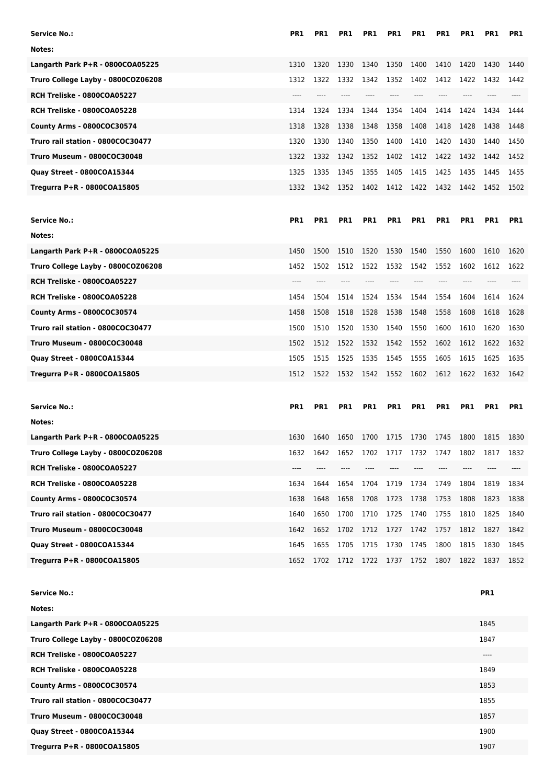| <b>Service No.:</b>                | PR <sub>1</sub> | PR <sub>1</sub> | PR1  | PR1        | PR1        | PR1            | PR1             | PR1        | PR1        | PR1        |
|------------------------------------|-----------------|-----------------|------|------------|------------|----------------|-----------------|------------|------------|------------|
| Notes:                             |                 |                 |      |            |            |                |                 |            |            |            |
| Langarth Park P+R - 0800COA05225   | 1310            | 1320            | 1330 | 1340       | 1350       | 1400           | 1410            | 1420       | 1430       | 1440       |
| Truro College Layby - 0800COZ06208 | 1312            | 1322            | 1332 | 1342       | 1352       | 1402           | 1412            | 1422       | 1432       | 1442       |
| RCH Treliske - 0800COA05227        | ----            |                 | ---- | $---$      |            | ----           | ----            |            |            |            |
| RCH Treliske - 0800COA05228        | 1314            | 1324            | 1334 | 1344       | 1354       | 1404           | 1414            | 1424       | 1434       | 1444       |
| County Arms - 0800COC30574         | 1318            | 1328            | 1338 | 1348       | 1358       | 1408           | 1418            | 1428       | 1438       | 1448       |
| Truro rail station - 0800COC30477  | 1320            | 1330            | 1340 | 1350       | 1400       | 1410           | 1420            | 1430       | 1440       | 1450       |
| <b>Truro Museum - 0800COC30048</b> | 1322            | 1332            | 1342 | 1352       | 1402       | 1412           | 1422            | 1432       | 1442       | 1452       |
| Quay Street - 0800COA15344         | 1325            | 1335            | 1345 | 1355       | 1405       | 1415           | 1425            | 1435       | 1445       | 1455       |
| Tregurra P+R - 0800COA15805        | 1332            | 1342            | 1352 | 1402       | 1412       | 1422           | 1432            | 1442       | 1452       | 1502       |
|                                    |                 |                 |      |            |            |                |                 |            |            |            |
| <b>Service No.:</b>                | <b>PR1</b>      | PR <sub>1</sub> | PR1  | <b>PR1</b> | <b>PR1</b> | PR1            | PR <sub>1</sub> | <b>PR1</b> | <b>PR1</b> | <b>PR1</b> |
| Notes:                             |                 |                 |      |            |            |                |                 |            |            |            |
| Langarth Park P+R - 0800COA05225   | 1450            | 1500            | 1510 | 1520       | 1530       | 1540           | 1550            | 1600       | 1610       | 1620       |
| Truro College Layby - 0800COZ06208 | 1452            | 1502            | 1512 | 1522       | 1532       | 1542           | 1552            | 1602       | 1612       | 1622       |
| RCH Treliske - 0800COA05227        | ----            |                 |      |            |            |                |                 |            |            |            |
| RCH Treliske - 0800COA05228        | 1454            | 1504            | 1514 | 1524       | 1534       | 1544           | 1554            | 1604       | 1614       | 1624       |
| County Arms - 0800COC30574         | 1458            | 1508            | 1518 | 1528       | 1538       | 1548           | 1558            | 1608       | 1618       | 1628       |
| Truro rail station - 0800COC30477  | 1500            | 1510            | 1520 | 1530       | 1540       | 1550           | 1600            | 1610       | 1620       | 1630       |
| <b>Truro Museum - 0800COC30048</b> | 1502            | 1512            | 1522 | 1532       | 1542       | 1552           | 1602            | 1612       | 1622       | 1632       |
| Quay Street - 0800COA15344         | 1505            | 1515            | 1525 | 1535       | 1545       | 1555           | 1605            | 1615       | 1625       | 1635       |
|                                    |                 |                 |      |            |            |                |                 |            |            |            |
| Tregurra P+R - 0800COA15805        | 1512            | 1522            | 1532 | 1542       | 1552       | 1602           | 1612            | 1622       | 1632       | 1642       |
|                                    |                 |                 |      |            |            |                |                 |            |            |            |
| <b>Service No.:</b>                | PR <sub>1</sub> | PR <sub>1</sub> | PR1  | PR1        | PR1        | PR1            | PR1             | PR1        | PR1        | PR1        |
| Notes:                             |                 |                 |      |            |            |                |                 |            |            |            |
| Langarth Park P+R - 0800COA05225   | 1630            | 1640            | 1650 | 1700       |            | 1715 1730 1745 |                 | 1800       | 1815       | 1830       |
| Truro College Layby - 0800COZ06208 | 1632            | 1642            | 1652 | 1702       | 1717       | 1732           | 1747            | 1802       | 1817       | 1832       |
| RCH Treliske - 0800COA05227        | ----            |                 |      |            |            |                |                 |            |            |            |
| RCH Treliske - 0800COA05228        | 1634            | 1644            | 1654 | 1704       | 1719       | 1734           | 1749            | 1804       | 1819       | 1834       |
| County Arms - 0800COC30574         | 1638            | 1648            | 1658 | 1708       | 1723       | 1738           | 1753            | 1808       | 1823       | 1838       |
| Truro rail station - 0800COC30477  | 1640            | 1650            | 1700 | 1710       | 1725       | 1740           | 1755            | 1810       | 1825       | 1840       |
| <b>Truro Museum - 0800COC30048</b> | 1642            | 1652            | 1702 | 1712       | 1727       | 1742           | 1757            | 1812       | 1827       | 1842       |
| Quay Street - 0800COA15344         | 1645            | 1655            | 1705 | 1715       | 1730       | 1745           | 1800            | 1815       | 1830       | 1845       |
| Tregurra P+R - 0800COA15805        | 1652            | 1702            | 1712 | 1722       | 1737       | 1752           | 1807            | 1822       | 1837       | 1852       |
|                                    |                 |                 |      |            |            |                |                 |            |            |            |
| <b>Service No.:</b>                |                 |                 |      |            |            |                |                 |            | PR1        |            |
| Notes:                             |                 |                 |      |            |            |                |                 |            |            |            |
| Langarth Park P+R - 0800COA05225   |                 |                 |      |            |            |                |                 |            | 1845       |            |
| Truro College Layby - 0800COZ06208 |                 |                 |      |            |            |                |                 |            | 1847       |            |
| RCH Treliske - 0800COA05227        |                 |                 |      |            |            |                |                 |            | $\cdots$   |            |
| RCH Treliske - 0800COA05228        |                 |                 |      |            |            |                |                 |            | 1849       |            |
| County Arms - 0800COC30574         |                 |                 |      |            |            |                |                 |            | 1853       |            |
| Truro rail station - 0800COC30477  |                 |                 |      |            |            |                |                 |            | 1855       |            |

**Quay Street - 0800COA15344** 1900

**Tregurra P+R - 0800COA15805** 1907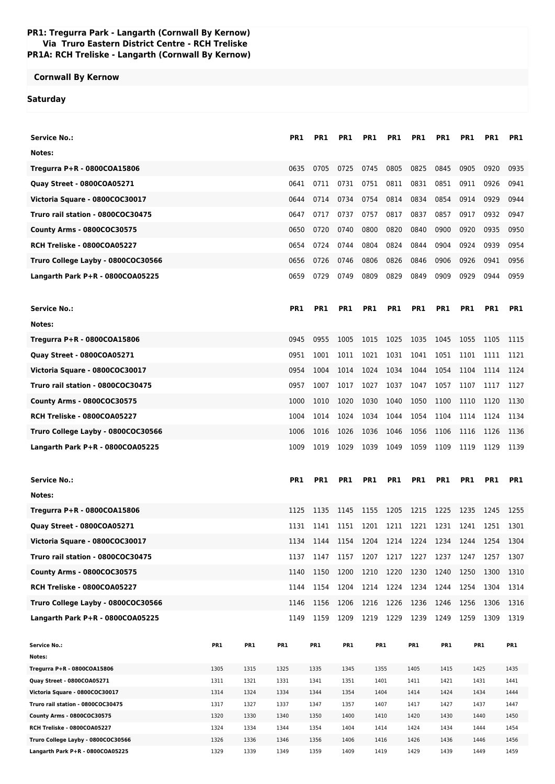## **PR1: Tregurra Park - Langarth (Cornwall By Kernow) Via Truro Eastern District Centre - RCH Treliske PR1A: RCH Treliske - Langarth (Cornwall By Kernow)**

## **Cornwall By Kernow**

## **Saturday**

| <b>Service No.:</b>                |      |      | PR1             | PR1             | PR1             | PR1             | PR1             | PR1             | PR1             | PR1             | PR1        | PR <sub>1</sub> |
|------------------------------------|------|------|-----------------|-----------------|-----------------|-----------------|-----------------|-----------------|-----------------|-----------------|------------|-----------------|
| Notes:                             |      |      |                 |                 |                 |                 |                 |                 |                 |                 |            |                 |
| Tregurra P+R - 0800COA15806        |      |      | 0635            | 0705            | 0725            | 0745            | 0805            | 0825            | 0845            | 0905            | 0920       | 0935            |
| <b>Quay Street - 0800COA05271</b>  |      |      | 0641            | 0711            | 0731            | 0751            | 0811            | 0831            | 0851            | 0911            | 0926       | 0941            |
| Victoria Square - 0800COC30017     |      |      | 0644            | 0714            | 0734            | 0754            | 0814            | 0834            | 0854            | 0914            | 0929       | 0944            |
| Truro rail station - 0800COC30475  |      |      | 0647            | 0717            | 0737            | 0757            | 0817            | 0837            | 0857            | 0917            | 0932       | 0947            |
| County Arms - 0800COC30575         |      |      | 0650            | 0720            | 0740            | 0800            | 0820            | 0840            | 0900            | 0920            | 0935       | 0950            |
| RCH Treliske - 0800COA05227        |      |      | 0654            | 0724            | 0744            | 0804            | 0824            | 0844            | 0904            | 0924            | 0939       | 0954            |
| Truro College Layby - 0800COC30566 |      |      | 0656            | 0726            | 0746            | 0806            | 0826            | 0846            | 0906            | 0926            | 0941       | 0956            |
| Langarth Park P+R - 0800COA05225   |      |      | 0659            | 0729            | 0749            | 0809            | 0829            | 0849            | 0909            | 0929            | 0944       | 0959            |
| <b>Service No.:</b>                |      |      | PR <sub>1</sub> | <b>PR1</b>      | <b>PR1</b>      | <b>PR1</b>      | <b>PR1</b>      | PR <sub>1</sub> | PR <sub>1</sub> | <b>PR1</b>      | <b>PR1</b> | <b>PR1</b>      |
| Notes:                             |      |      |                 |                 |                 |                 |                 |                 |                 |                 |            |                 |
| Tregurra P+R - 0800COA15806        |      |      | 0945            | 0955            | 1005            | 1015            | 1025            | 1035            | 1045            | 1055            | 1105       | 1115            |
| Quay Street - 0800COA05271         |      |      | 0951            | 1001            | 1011            | 1021            | 1031            | 1041            | 1051            | 1101            | 1111       | 1121            |
| Victoria Square - 0800COC30017     |      |      | 0954            | 1004            | 1014            | 1024            | 1034            | 1044            | 1054            | 1104            | 1114       | 1124            |
| Truro rail station - 0800COC30475  |      |      | 0957            | 1007            | 1017            | 1027            | 1037            | 1047            | 1057            | 1107            | 1117       | 1127            |
| County Arms - 0800COC30575         |      |      | 1000            | 1010            | 1020            | 1030            | 1040            | 1050            | 1100            | 1110            | 1120       | 1130            |
| RCH Treliske - 0800COA05227        |      |      | 1004            | 1014            | 1024            | 1034            | 1044            | 1054            | 1104            | 1114            | 1124       | 1134            |
| Truro College Layby - 0800COC30566 |      |      | 1006            | 1016            | 1026            | 1036            | 1046            | 1056            | 1106            | 1116            | 1126       | 1136            |
| Langarth Park P+R - 0800COA05225   |      |      | 1009            | 1019            | 1029            | 1039            | 1049            | 1059            | 1109            | 1119            | 1129       | 1139            |
|                                    |      |      |                 |                 |                 |                 |                 |                 |                 |                 |            |                 |
| <b>Service No.:</b>                |      |      | PR1             | PR <sub>1</sub> | PR1             | PR <sub>1</sub> | PR <sub>1</sub> | PR1             | PR1             | PR <sub>1</sub> | PR1        | PR1             |
| Notes:                             |      |      |                 |                 |                 |                 |                 |                 |                 |                 |            |                 |
| Tregurra P+R - 0800COA15806        |      |      | 1125            | 1135            | 1145            | 1155            | 1205            | 1215            | 1225            | 1235            | 1245       | 1255            |
| Quay Street - 0800COA05271         |      |      | 1131            | 1141            | 1151            | 1201            | 1211            | 1221            | 1231            | 1241            | 1251       | 1301            |
| Victoria Square - 0800COC30017     |      |      | 1134            | 1144            | 1154            | 1204            | 1214            | 1224            | 1234            | 1244            | 1254       | 1304            |
| Truro rail station - 0800COC30475  |      |      | 1137            | 1147            | 1157            | 1207            | 1217            | 1227            | 1237            | 1247            | 1257       | 1307            |
| County Arms - 0800COC30575         |      |      | 1140            | 1150            | 1200            | 1210            | 1220            | 1230            | 1240            | 1250            | 1300       | 1310            |
| RCH Treliske - 0800COA05227        |      |      | 1144            | 1154            | 1204            | 1214            | 1224            | 1234            | 1244            | 1254            | 1304       | 1314            |
| Truro College Layby - 0800COC30566 |      |      | 1146            | 1156            | 1206            | 1216            | 1226            | 1236            | 1246            | 1256            | 1306       | 1316            |
| Langarth Park P+R - 0800COA05225   |      |      | 1149            | 1159            | 1209            | 1219 1229       |                 | 1239            | 1249            | 1259            | 1309       | 1319            |
|                                    |      |      |                 |                 |                 |                 |                 |                 |                 |                 |            |                 |
| <b>Service No.:</b>                | PR1  | PR1  | PR1             | PR <sub>1</sub> | PR <sub>1</sub> | PR <sub>1</sub> |                 | PR <sub>1</sub> | PR1             | PR <sub>1</sub> |            | PR1             |
| Notes:                             |      |      |                 |                 |                 |                 |                 |                 |                 |                 |            |                 |
| Tregurra P+R - 0800COA15806        | 1305 | 1315 | 1325            | 1335            | 1345            | 1355            |                 | 1405            | 1415            | 1425            |            | 1435            |
| Quay Street - 0800COA05271         | 1311 | 1321 | 1331            | 1341            | 1351            | 1401            |                 | 1411            | 1421            | 1431            |            | 1441            |

| <b>Quay Street - 0800COA05271</b>  | 1311 | 1321 | 1331 | 1341 | 1351 | 1401 | 1411 | 1421 | 1431 | 1441 |
|------------------------------------|------|------|------|------|------|------|------|------|------|------|
| Victoria Square - 0800COC30017     | 1314 | 1324 | 1334 | 1344 | 1354 | 1404 | 1414 | 1424 | 1434 | 1444 |
| Truro rail station - 0800COC30475  | 1317 | 1327 | 1337 | 1347 | 1357 | 1407 | 1417 | 1427 | 1437 | 1447 |
| <b>County Arms - 0800COC30575</b>  | 1320 | 1330 | 1340 | 1350 | 1400 | 1410 | 1420 | 1430 | 1440 | 1450 |
| RCH Treliske - 0800COA05227        | 1324 | 1334 | 1344 | 1354 | 1404 | 1414 | 1424 | 1434 | 1444 | 1454 |
| Truro College Layby - 0800COC30566 | 1326 | 1336 | 1346 | 1356 | 1406 | 1416 | 1426 | 1436 | 1446 | 1456 |
| Langarth Park P+R - 0800COA05225   | 1329 | 1339 | 1349 | 1359 | 1409 | 1419 | 1429 | 1439 | 1449 | 1459 |